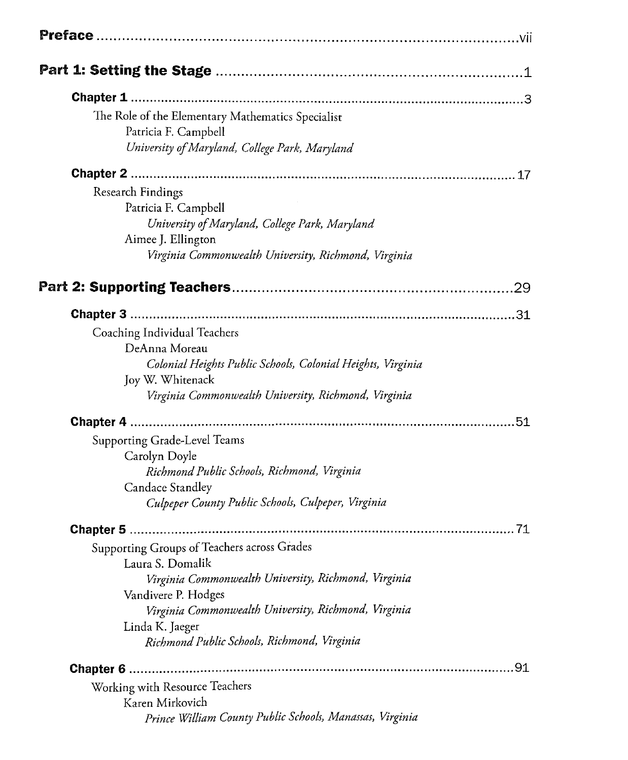|                          | The Role of the Elementary Mathematics Specialist<br>Patricia F. Campbell<br>University of Maryland, College Park, Maryland                                                                                                                                              |    |
|--------------------------|--------------------------------------------------------------------------------------------------------------------------------------------------------------------------------------------------------------------------------------------------------------------------|----|
|                          |                                                                                                                                                                                                                                                                          |    |
| <b>Research Findings</b> | Patricia F. Campbell<br>University of Maryland, College Park, Maryland<br>Aimee J. Ellington<br>Virginia Commonwealth University, Richmond, Virginia                                                                                                                     |    |
|                          |                                                                                                                                                                                                                                                                          | 29 |
|                          |                                                                                                                                                                                                                                                                          |    |
|                          | Coaching Individual Teachers<br>DeAnna Moreau<br>Colonial Heights Public Schools, Colonial Heights, Virginia<br>Joy W. Whitenack<br>Virginia Commonwealth University, Richmond, Virginia                                                                                 |    |
|                          |                                                                                                                                                                                                                                                                          |    |
|                          | Supporting Grade-Level Teams<br>Carolyn Doyle<br>Richmond Public Schools, Richmond, Virginia<br>Candace Standley<br>Culpeper County Public Schools, Culpeper, Virginia                                                                                                   |    |
|                          |                                                                                                                                                                                                                                                                          |    |
|                          | Supporting Groups of Teachers across Grades<br>Laura S. Domalik<br>Virginia Commonwealth University, Richmond, Virginia<br>Vandivere P. Hodges<br>Virginia Commonwealth University, Richmond, Virginia<br>Linda K. Jaeger<br>Richmond Public Schools, Richmond, Virginia |    |
|                          |                                                                                                                                                                                                                                                                          |    |
|                          | Working with Resource Teachers<br>Karen Mirkovich<br>Prince William County Public Schools, Manassas, Virginia                                                                                                                                                            |    |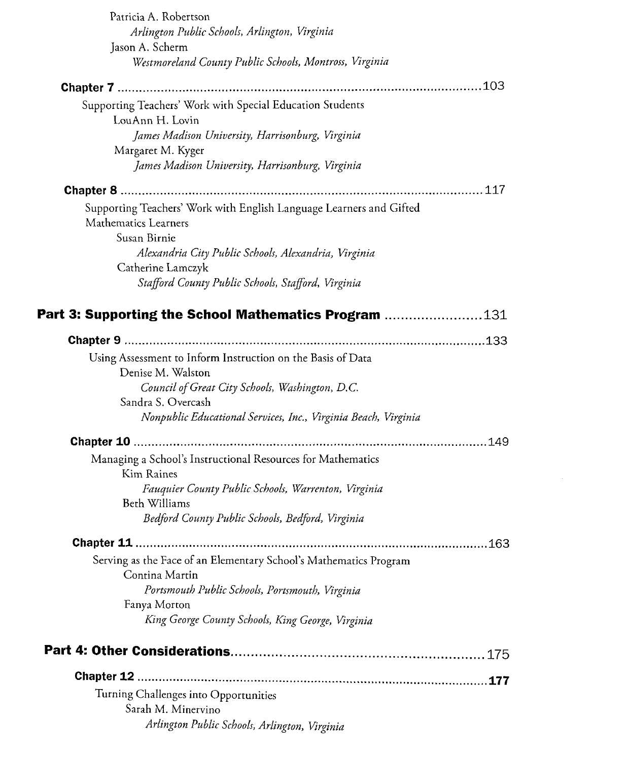| Patricia A. Robertson                                                            |  |
|----------------------------------------------------------------------------------|--|
| Arlington Public Schools, Arlington, Virginia                                    |  |
| Jason A. Scherm                                                                  |  |
| Westmoreland County Public Schools, Montross, Virginia                           |  |
|                                                                                  |  |
| Supporting Teachers' Work with Special Education Students                        |  |
| LouAnn H. Lovin                                                                  |  |
| James Madison University, Harrisonburg, Virginia                                 |  |
| Margaret M. Kyger                                                                |  |
| James Madison University, Harrisonburg, Virginia                                 |  |
|                                                                                  |  |
| Supporting Teachers' Work with English Language Learners and Gifted              |  |
| Mathematics Learners                                                             |  |
| Susan Birnie                                                                     |  |
| Alexandria City Public Schools, Alexandria, Virginia                             |  |
| Catherine Lamczyk                                                                |  |
| Stafford County Public Schools, Stafford, Virginia                               |  |
| <b>Part 3: Supporting the School Mathematics Program 131</b>                     |  |
|                                                                                  |  |
|                                                                                  |  |
| Using Assessment to Inform Instruction on the Basis of Data<br>Denise M. Walston |  |
| Council of Great City Schools, Washington, D.C.                                  |  |
| Sandra S. Overcash                                                               |  |
| Nonpublic Educational Services, Inc., Virginia Beach, Virginia                   |  |
|                                                                                  |  |
| Managing a School's Instructional Resources for Mathematics<br>Kim Raines        |  |
| Fauquier County Public Schools, Warrenton, Virginia                              |  |
| Beth Williams                                                                    |  |
| Bedford County Public Schools, Bedford, Virginia                                 |  |
|                                                                                  |  |
| Serving as the Face of an Elementary School's Mathematics Program                |  |
| Contina Martin                                                                   |  |
| Portsmouth Public Schools, Portsmouth, Virginia                                  |  |
| Fanya Morton                                                                     |  |
| King George County Schools, King George, Virginia                                |  |
|                                                                                  |  |
|                                                                                  |  |
| Turning Challenges into Opportunities                                            |  |
| Sarah M. Minervino                                                               |  |
| Arlington Public Schools, Arlington, Virginia                                    |  |
|                                                                                  |  |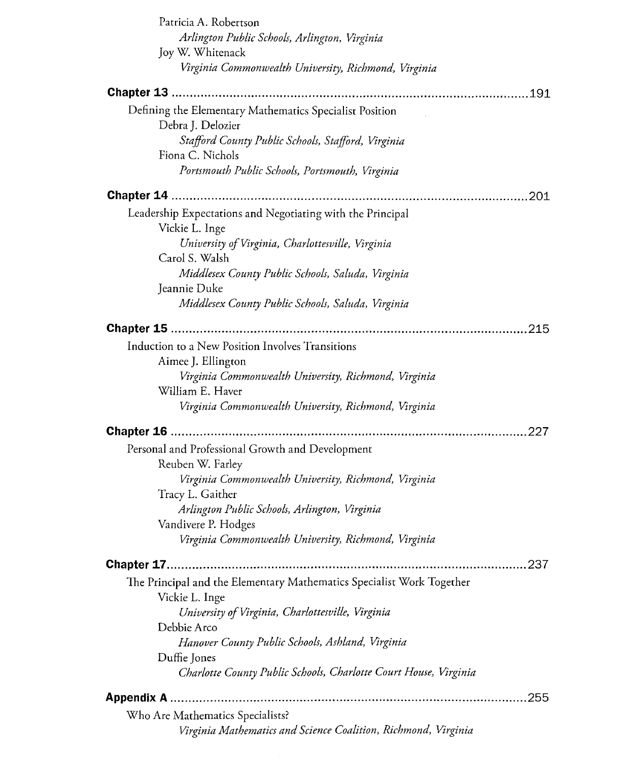| Patricia A. Robertson                                                 |  |  |
|-----------------------------------------------------------------------|--|--|
| Arlington Public Schools, Arlington, Virginia                         |  |  |
| Joy W. Whitenack                                                      |  |  |
| Virginia Commonwealth University, Richmond, Virginia                  |  |  |
|                                                                       |  |  |
| Defining the Elementary Mathematics Specialist Position               |  |  |
| Debra J. Delozier                                                     |  |  |
| Stafford County Public Schools, Stafford, Virginia                    |  |  |
| Fiona C. Nichols                                                      |  |  |
| Portsmouth Public Schools, Portsmouth, Virginia                       |  |  |
|                                                                       |  |  |
| Leadership Expectations and Negotiating with the Principal            |  |  |
| Vickie L. Inge                                                        |  |  |
| University of Virginia, Charlottesville, Virginia                     |  |  |
| Carol S. Walsh                                                        |  |  |
| Middlesex County Public Schools, Saluda, Virginia                     |  |  |
| Jeannie Duke                                                          |  |  |
| Middlesex County Public Schools, Saluda, Virginia                     |  |  |
|                                                                       |  |  |
| Induction to a New Position Involves Transitions                      |  |  |
| Aimee J. Ellington                                                    |  |  |
| Virginia Commonwealth University, Richmond, Virginia                  |  |  |
| William E. Haver                                                      |  |  |
| Virginia Commonwealth University, Richmond, Virginia                  |  |  |
| .227                                                                  |  |  |
| Personal and Professional Growth and Development                      |  |  |
| Reuben W. Farley                                                      |  |  |
| Virginia Commonwealth University, Richmond, Virginia                  |  |  |
| Tracy L. Gaither                                                      |  |  |
| Arlington Public Schools, Arlington, Virginia                         |  |  |
| Vandivere P. Hodges                                                   |  |  |
| Virginia Commonwealth University, Richmond, Virginia                  |  |  |
|                                                                       |  |  |
| The Principal and the Elementary Mathematics Specialist Work Together |  |  |
| Vickie L. Inge                                                        |  |  |
| University of Virginia, Charlottesville, Virginia                     |  |  |
| Debbie Arco                                                           |  |  |
| Hanover County Public Schools, Ashland, Virginia                      |  |  |
| Duffie Jones                                                          |  |  |
| Charlotte County Public Schools, Charlotte Court House, Virginia      |  |  |
|                                                                       |  |  |
| Who Are Mathematics Specialists?                                      |  |  |
| Virginia Mathematics and Science Coalition, Richmond, Virginia        |  |  |
|                                                                       |  |  |